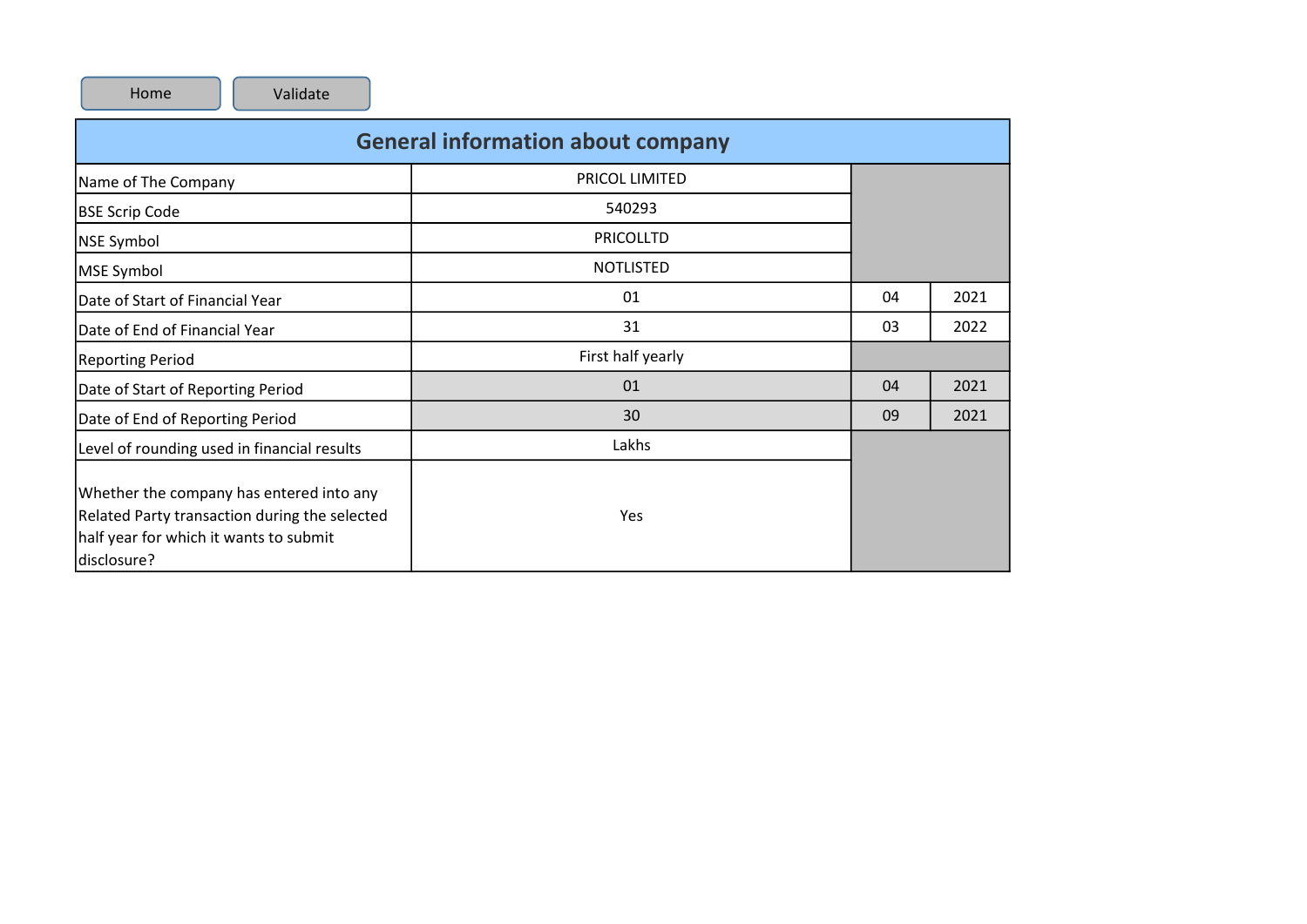|                                                                                                                                                    | <b>General information about company</b> |    |      |
|----------------------------------------------------------------------------------------------------------------------------------------------------|------------------------------------------|----|------|
| Name of The Company                                                                                                                                | <b>PRICOL LIMITED</b>                    |    |      |
| <b>BSE Scrip Code</b>                                                                                                                              | 540293                                   |    |      |
| <b>NSE Symbol</b>                                                                                                                                  | <b>PRICOLLTD</b>                         |    |      |
| <b>MSE Symbol</b>                                                                                                                                  | <b>NOTLISTED</b>                         |    |      |
| Date of Start of Financial Year                                                                                                                    | 01                                       | 04 | 2021 |
| Date of End of Financial Year                                                                                                                      | 31                                       | 03 | 2022 |
| <b>Reporting Period</b>                                                                                                                            | First half yearly                        |    |      |
| Date of Start of Reporting Period                                                                                                                  | 01                                       | 04 | 2021 |
| Date of End of Reporting Period                                                                                                                    | 30                                       | 09 | 2021 |
| Level of rounding used in financial results                                                                                                        | Lakhs                                    |    |      |
| Whether the company has entered into any<br>Related Party transaction during the selected<br>half year for which it wants to submit<br>disclosure? | Yes                                      |    |      |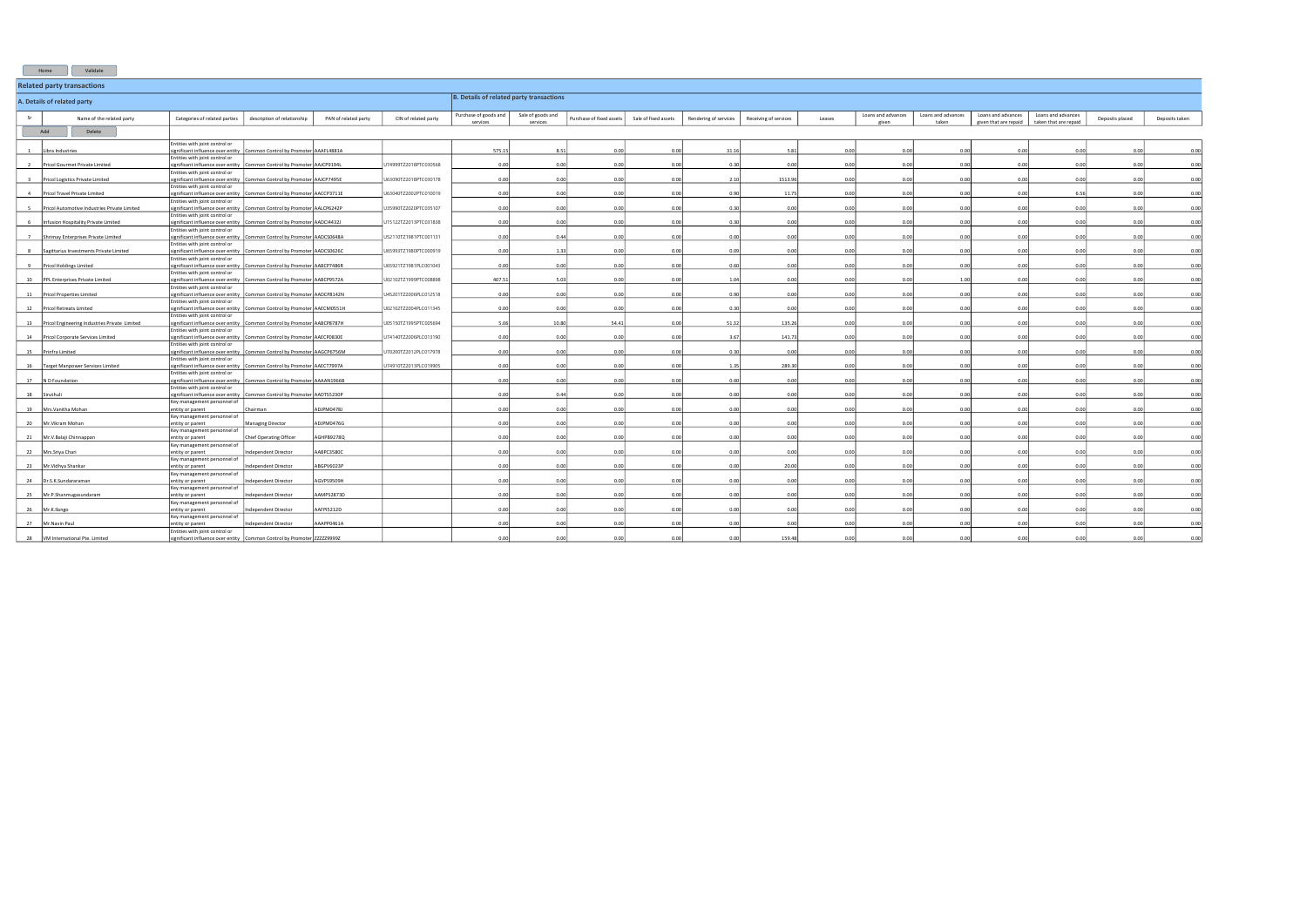|                                   | Validate<br>Home                                 |                                                                                                            |                                       |                      |                       |                                                 |                               |                          |                      |                       |                       |        |                             |                             |                                             |                                             |                 |                |
|-----------------------------------|--------------------------------------------------|------------------------------------------------------------------------------------------------------------|---------------------------------------|----------------------|-----------------------|-------------------------------------------------|-------------------------------|--------------------------|----------------------|-----------------------|-----------------------|--------|-----------------------------|-----------------------------|---------------------------------------------|---------------------------------------------|-----------------|----------------|
| <b>Related party transactions</b> |                                                  |                                                                                                            |                                       |                      |                       |                                                 |                               |                          |                      |                       |                       |        |                             |                             |                                             |                                             |                 |                |
|                                   | A. Details of related party                      |                                                                                                            |                                       |                      |                       | <b>B. Details of related party transactions</b> |                               |                          |                      |                       |                       |        |                             |                             |                                             |                                             |                 |                |
| -Sr                               | Name of the related party                        | Categories of related parties                                                                              | description of relationship           | PAN of related party | CIN of related party  | Purchase of goods and<br>services               | Sale of goods and<br>services | Purchase of fixed assets | Sale of fixed assets | Rendering of services | Receiving of services | Leases | Loans and advances<br>ziven | Loans and advances<br>taken | Loans and advances<br>given that are repaid | Loans and advances<br>taken that are repaid | Deposits placed | Deposits taken |
|                                   | Add<br>Delete                                    |                                                                                                            |                                       |                      |                       |                                                 |                               |                          |                      |                       |                       |        |                             |                             |                                             |                                             |                 |                |
|                                   |                                                  | Entities with joint control or                                                                             |                                       |                      |                       |                                                 |                               |                          |                      |                       |                       |        |                             |                             |                                             |                                             |                 |                |
|                                   | Libra Industries                                 | ignificant influence over entity                                                                           | Common Control by Promoter AAAFL4881A |                      |                       | 575.15                                          | 8.51                          | 0.00                     | 0.00                 | 31.16                 | 5.81                  | 0.00   | 0.00                        | 0.00                        | 0.00                                        | 0.00                                        | 0.00            | 0.00           |
|                                   | Pricol Gourmet Private Limited                   | Entities with joint control or<br>ignificant influence over entity Common Control by Promoter AAJCP9194L   |                                       |                      | U74999TZ2018PTC030568 | 0.00                                            | 0.00                          | 0.00                     | 0.00                 | 0.30                  | 0.00                  | 0.00   | 0.00                        | 0.00                        | 0.00                                        | 0.00                                        | 0.00            | 0.00           |
|                                   | Pricol Logistics Private Limited                 | Entities with joint control or<br>significant influence over entity Common Control by Promoter AAJCP7495E  |                                       |                      | U63090TZ2018PTC030178 | 0.00                                            | 0.00                          | 0.00                     | 0.00                 | 2.10                  | 1513.96               | 0.00   | 0.00                        | 0.00                        | 0.00                                        | 0.00                                        | 0.00            | 0.00           |
|                                   |                                                  | Entities with joint control or                                                                             |                                       |                      |                       |                                                 |                               |                          |                      |                       |                       |        |                             |                             |                                             |                                             |                 |                |
|                                   | Pricol Travel Private Limited                    | significant influence over entity Common Control by Promoter AACCP3711E<br>Entities with joint control or  |                                       |                      | U63040TZ2002PTC010019 | 0.00                                            | 0.00                          | 0.00                     | 0.00                 | 0.90                  | 11.75                 | 0.00   | 0.00                        | 0.00                        | 0.00                                        | 6.56                                        | 0.00            | 0.00           |
|                                   | Pricol Automotive Industries Private Limited     | ignificant influence over entity Common Control by Promoter AALCP6242P                                     |                                       |                      | U35990TZ2020PTC035107 | 0.00                                            | 0.00                          | 0.00                     | 0.00                 | 0.30                  | 0.00                  | 0.00   | 0.00                        | 0.00                        | 0.00                                        | 0.00                                        | 0.00            | 0.00           |
|                                   | Infusion Hospitality Private Limited             | Entities with joint control or<br>ignificant influence over entity                                         | Common Control by Promoter AADCI4432J |                      | U15122TZ2013PTC031838 | 0.00                                            | 0.00                          | 0.00                     | 0.00                 | 0.30                  | 0.00                  | 0.00   | 0.00                        | 0.00                        | 0.00                                        | 0.00                                        | 0.00            | 0.00           |
|                                   |                                                  | Entities with joint control or                                                                             |                                       |                      |                       |                                                 |                               |                          |                      |                       |                       |        |                             |                             |                                             |                                             |                 |                |
|                                   | 7 Shrimay Enterprises Private Limited            | significant influence over entity Common Control by Promoter AADCS0648A<br>Entities with joint control or  |                                       |                      | U52110TZ1981PTC001131 | 0.00                                            | 0.44                          | 0.00                     | 0.00                 | 0.00                  | 0.00                  | 0.00   | 0.00                        | 0.00                        | 0.00                                        | 0.00                                        | 0.00            | 0.00           |
|                                   | Sagittarius Investments Private Limited          | ignificant influence over entity                                                                           | Common Control by Promoter AADCS0626C |                      | U65993TZ1980PTC000919 | 0.01                                            | 1.33                          | 0.00                     | 0.00                 | 0.09                  | 0.00                  | 0.00   | 0.00                        | 0.00                        | 0.00                                        | 0.00                                        | 0.00            | 0.00           |
|                                   | Pricol Holdings Limited                          | Entities with joint control or<br>ignificant influence over entity Common Control by Promoter AABCP7486R   |                                       |                      | U65921TZ1981PLC001043 | 0.00                                            | 0.00                          | 0.00                     | 0.00                 | 0.60                  | 0.00                  | 0.00   | 0.00                        | 0.00 <sub>1</sub>           | 0.00                                        | 0.00                                        | 0.00            | 0.00           |
| 10                                | PPL Enterprises Private Limited                  | Entities with joint control or<br>ignificant influence over entity                                         | Common Control by Promoter AABCP9572A |                      | U02102TZ1999PTC008898 | 407.51                                          | 5.03                          | 0.00                     | 0.00                 | 1.04                  | 0.00                  | 0.00   | 0.00                        | 1.00                        | 0.00                                        | 0.00                                        | 0.00            | 0.00           |
|                                   |                                                  | Entities with joint control or                                                                             |                                       |                      |                       |                                                 |                               |                          |                      |                       |                       |        |                             |                             |                                             |                                             |                 |                |
|                                   | 11   Pricol Properties Limited                   | significant influence over entity Common Control by Promoter AADCP8142N<br>Entities with joint control or  |                                       |                      | U45201TZ2006PLC012518 | 0.00                                            | 0.00                          | 0.00 <sub>1</sub>        | 0.00                 | 0.90                  | 0.00                  | 0.00   | 0.00                        | 0.00                        | 0.00                                        | 0.00                                        | 0.00            | 0.00           |
|                                   | 12 Pricol Retreats Limited                       | ignificant influence over entity                                                                           | Common Control by Promoter AAECM0551H |                      | U02102TZ2004PLC011345 | 0.00                                            | 0.00                          | 0.00                     | 0.00                 | 0.30                  | 0.00                  | 0.00   | 0.00                        | 0.00                        | 0.00                                        | 0.00                                        | 0.00            | 0.00           |
|                                   | 13 Pricol Engineering Industries Private Limited | Entities with joint control or<br>significant influence over entity Common Control by Promoter AABCP8787H  |                                       |                      | U05150TZ1995PTC005694 | 5.06                                            | 10.80                         | 54.41                    | 0.00                 | 51.32                 | 135.26                | 0.00   | 0.00                        | 0.00                        | 0.00                                        | 0.00                                        | 0.00            | 0.00           |
|                                   |                                                  | Entities with joint control or                                                                             |                                       |                      |                       |                                                 |                               |                          |                      |                       |                       |        |                             |                             |                                             |                                             |                 |                |
|                                   | 14   Pricol Corporate Services Limited           | ignificant influence over entity Common Control by Promoter AAECP0830E<br>Entities with joint control or   |                                       |                      | U74140TZ2006PLC013190 | 0.00                                            | 0.00                          | 0.00                     | 0.00                 | 3.67                  | 141.73                | 0.00   | 0.00                        | 0.00                        | 0.00                                        | 0.00                                        | 0.00            | 0.00           |
| 15                                | Prinfra Limited                                  | significant influence over entity Common Control by Promoter AAGCP6756M                                    |                                       |                      | U70200TZ2012PLC017978 | 0.00                                            | 0.00                          | 0.00                     | 0.00                 | 0.30                  | 0.00                  | 0.00   | 0.00                        | 0.00                        | 0.00                                        | 0.00                                        | 0.00            | 0.00           |
|                                   | 16   Target Manpower Services Limited            | Entities with joint control or<br>ignificant influence over entity Common Control by Promoter AAECT7997A   |                                       |                      | U74910TZ2013PLC019905 | 0.00                                            | 0.00                          | 0.00                     | 0.00                 | 1.35                  | 289.30                | 0.00   | 0.00                        | 0.00                        | 0.00                                        | 0.00                                        | 0.00            | 0.00           |
| 17                                | N D Foundation                                   | Entities with joint control or<br>ignificant influence over entity Common Control by Promoter AAAAN1966B   |                                       |                      |                       | 0.00                                            | 0.00                          | 0.00                     | 0.00                 | 0.00                  | 0.00                  | 0.00   | 0.00                        | 0.00                        | 0.00                                        | 0.00                                        | 0.00            | 0.00           |
|                                   |                                                  | Entities with joint control or                                                                             |                                       |                      |                       |                                                 |                               |                          |                      |                       |                       |        |                             |                             |                                             |                                             |                 |                |
|                                   | 18 Siruthuli                                     | ignificant influence over entity Common Control by Promoter AADTS5230P<br>Key management personnel of      |                                       |                      |                       | 0.00                                            | 0.44                          | 0.00                     | 0.00                 | 0.00                  | 0.00                  | 0.00   | 0.00                        | 0.00                        | 0.00                                        | 0.00                                        | 0.00            | 0.00           |
| 19                                | Mrs.Vanitha Mohan                                | entity or parent                                                                                           | Chairman                              | <b>ADIPM04781</b>    |                       | 0.00                                            | 0.00                          | 0.00                     | 0.00                 | 0.00                  | 0.00                  | 0.00   | 0.00                        | 0.00                        | 0.00                                        | 0.00                                        | 0.00            | 0.00           |
|                                   | 20 Mr. Vikram Mohan                              | Key management personnel of<br>entity or parent                                                            | Managing Director                     | ADJPM0476G           |                       | 0.00                                            | 0.00                          | 0.00                     | 0.00                 | 0.00                  | 0.00                  | 0.00   | 0.00                        | 0.00                        | 0.00                                        | 0.00                                        | 0.00            | 0.00           |
|                                   |                                                  | Key management personnel of                                                                                |                                       | AGHPB9278Q           |                       | 0.00                                            | 0.00                          | 0.00                     | 0.00                 | 0.00                  | 0.00                  | 0.00   | 0.00                        | 0.00                        | 0.00                                        | 0.00                                        | 0.00            | 0.00           |
|                                   | 21 Mr.V.Balaji Chinnappan                        | entity or parent<br>Key management personnel of                                                            | <b>Chief Operating Officer</b>        |                      |                       |                                                 |                               |                          |                      |                       |                       |        |                             |                             |                                             |                                             |                 |                |
|                                   | 22 Mrs.Sriya Chari                               | entity or parent<br>Key management personnel of                                                            | Independent Director                  | AABPC3580C           |                       | 0.00                                            | 0.00                          | 0.00                     | 0.00                 | 0.00                  | 0.00                  | 0.00   | 0.00                        | 0.00                        | 0.00                                        | 0.00                                        | 0.00            | 0.00           |
| 23                                | Mr.Vidhya Shankar                                | entity or parent                                                                                           | Independent Director                  | ABGPV6023P           |                       | 0.00                                            | 0.00                          | 0.00                     | 0.00                 | 0.00                  | 20.00                 | 0.00   | 0.00                        | 0.00                        | 0.00                                        | 0.00                                        | 0.00            | 0.00           |
|                                   | 24 Dr.S.K.Sundararaman                           | Key management personnel of<br>entity or parent                                                            | Independent Director                  | AGVPS9509H           |                       | 0.00                                            | 0.00                          | 0.00                     | 0.00                 | 0.00                  | 0.00                  | 0.00   | 0.00                        | 0.00                        | 0.00                                        | 0.00                                        | 0.00            | 0.00           |
|                                   |                                                  | Key management personnel of                                                                                |                                       |                      |                       |                                                 |                               |                          |                      |                       |                       |        |                             |                             |                                             |                                             |                 |                |
|                                   | 25 Mr.P.Shanmugasundaram                         | entity or parent<br>Key management personnel of                                                            | Independent Director                  | AMPS2873D            |                       | 0.01                                            | 0.00                          | 0.00                     | 0.00                 | 0.00                  | 0.00                  | 0.00   | 0.00                        | 0.00                        | 0.00                                        | 0.00                                        | 0.00            | 0.00           |
|                                   | 26 Mr.K.Ilango                                   | entity or parent                                                                                           | Independent Director                  | AAFPI5212D           |                       | 0.00                                            | 0.00                          | 0.00                     | 0.00                 | 0.00                  | 0.00                  | 0.00   | 0.00                        | 0.00                        | 0.00                                        | 0.00                                        | 0.00            | 0.00           |
|                                   | 27 Mr. Navin Paul                                | Key management personnel of<br>ntity or parent                                                             | dependent Director                    | AAAPP0461A           |                       |                                                 | 0.00                          | 0.00                     | 0.00                 | 0.00                  |                       | 0.00   | 0.00                        | 0.00                        | 0.00                                        |                                             | 0.00            | 0.00           |
|                                   | 28   VM International Pte. Limited               | Entities with joint control or<br>significant influence over entity Common Control by Promoter ZZZZZ29999Z |                                       |                      |                       | 0.00                                            | 0.00                          | 0.00                     | 0.00                 | 0.00                  | 159.48                | 0.00   | 0.00                        | 0.00                        | 0.00                                        | 0.00                                        | 0.00            | 0.00           |
|                                   |                                                  |                                                                                                            |                                       |                      |                       |                                                 |                               |                          |                      |                       |                       |        |                             |                             |                                             |                                             |                 |                |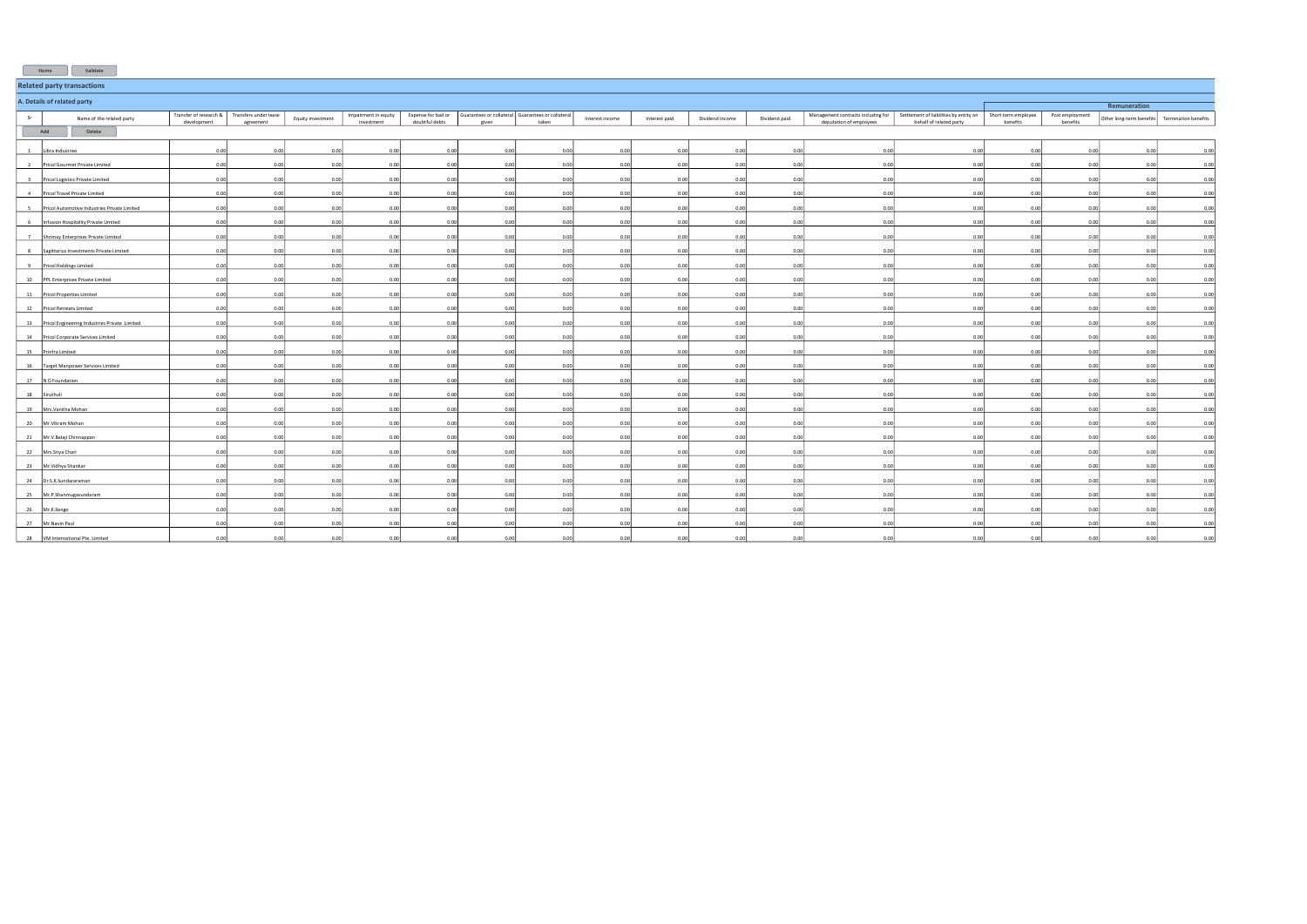|                | Validate<br>Home                                 |             |                                                           |                   |                                    |                                      |                                                            |       |                 |               |                 |               |                         |                                                                                                        |                                 |                             |                          |                      |
|----------------|--------------------------------------------------|-------------|-----------------------------------------------------------|-------------------|------------------------------------|--------------------------------------|------------------------------------------------------------|-------|-----------------|---------------|-----------------|---------------|-------------------------|--------------------------------------------------------------------------------------------------------|---------------------------------|-----------------------------|--------------------------|----------------------|
|                | <b>Related party transactions</b>                |             |                                                           |                   |                                    |                                      |                                                            |       |                 |               |                 |               |                         |                                                                                                        |                                 |                             |                          |                      |
|                | A. Details of related party<br>Remuneration      |             |                                                           |                   |                                    |                                      |                                                            |       |                 |               |                 |               |                         |                                                                                                        |                                 |                             |                          |                      |
| Sr             | Name of the related party                        | development | Transfer of research & Transfers under lease<br>agreement | Equity investment | Impairment in equity<br>investment | Expense for bad or<br>doubtful debts | Guarantees or collateral Guarantees or collateral<br>given | taken | Interest income | Interest paid | Dividend income | Dividend paid | deputation of employees | Management contracts including for   Settlement of liabilities by entity on<br>behalf of related party | Short term employee<br>benefits | Post employment<br>benefits | Other long-term benefits | Termination benefits |
|                | Add<br>Delete                                    |             |                                                           |                   |                                    |                                      |                                                            |       |                 |               |                 |               |                         |                                                                                                        |                                 |                             |                          |                      |
|                | Libra Industries                                 | 0.00        | 0.00                                                      | 0.00              | 0.00                               | 0.00                                 | 0.00                                                       | 0.00  | 0.00            | 0.00          | 0.00            | 0.00          | 0.00                    | 0.00                                                                                                   | 0.00                            | 0.00                        | 0.00                     | 0.00                 |
| $\overline{2}$ | Pricol Gourmet Private Limited                   | 0.00        | 0.00                                                      | 0.00              | 0.00                               | 0.00                                 | 0.00                                                       | 0.00  | 0.00            | 0.00          | 0.00            | 0.00          | 0.00                    | 0.00                                                                                                   | 0.00                            | 0.00                        | 0.00                     | 0.00                 |
|                |                                                  | 0.00        | 0.00                                                      | 0.00              | 0.00                               | 0.00                                 | 0.00                                                       | 0.00  | 0.00            | 0.00          | 0.00            | 0.00          | 0.00                    | 0.0                                                                                                    | 0.01                            | 0.00                        | 0.00                     |                      |
|                | Pricol Logistics Private Limited                 |             |                                                           |                   |                                    |                                      |                                                            |       |                 |               |                 |               |                         |                                                                                                        |                                 |                             |                          | 0.00                 |
| 4              | Pricol Travel Private Limited                    | 0.00        | 0.00                                                      | 0.00              | 0.00                               | 0.00                                 | 0.00                                                       | 0.00  | 0.00            | 0.00          | 0.00            | 0.00          | 0.00                    | 0.00                                                                                                   | 0.00                            | 0.00                        | 0.00                     | 0.00                 |
|                | Pricol Automotive Industries Private Limited     | 0.00        | 0.00                                                      | 0.00              | 0.00                               | 0.00                                 | 0.00                                                       | 0.00  | 0.00            | 0.00          | 0.00            | 0.00          | 0.00                    | 0.00                                                                                                   | 0.00                            | 0.00                        | 0.00                     | 0.00                 |
|                | 6 Infusion Hospitality Private Limited           | 0.00        | 0.00                                                      | 0.00              | 0.00                               | 0.00                                 | 0.00                                                       | 0.00  | 0.00            | 0.00          | 0.00            | 0.00          | 0.00                    | 0.00                                                                                                   | 0.00                            | 0.00                        | 0.00                     | 0.00                 |
| 7              | Shrimay Enterprises Private Limited              | 0.0         | 0.00                                                      | 0.00              | 0.00                               | 0.00                                 | 0.00                                                       | 0.00  | 0.00            | 0.00          | 0.00            | 0.00          | 0.00                    | 0.00                                                                                                   | 0.00                            | 0.00                        | 0.00                     | 0.00                 |
| 8              | Sagittarius Investments Private Limited          | 0.00        | 0.00                                                      | 0.00              | 0.00                               | 0.00                                 | 0.00                                                       | 0.00  | 0.00            | 0.00          | 0.00            | 0.00          | 0.00                    | 0.00                                                                                                   | 0.00                            | 0.00                        | 0.00                     | 0.00                 |
|                | 9 Pricol Holdings Limited                        | 0.00        | 0.00                                                      | 0.00              | 0.00                               | 0.00                                 | 0.00                                                       | 0.00  | 0.00            | 0.00          | 0.00            | 0.00          | 0.00                    | 0.00                                                                                                   | 0.00                            | 0.00                        | 0.00                     | 0.00                 |
|                | 10 PPL Enterprises Private Limited               | 0.00        | 0.00                                                      | 0.00              | 0.00                               | 0.00                                 | 0.00                                                       | 0.00  | 0.00            | 0.00          | 0.00            | 0.00          | 0.00                    | 0.00                                                                                                   | 0.00                            | 0.00                        | 0.00                     | 0.00                 |
|                | 11 Pricol Properties Limited                     | 0.00        | 0.00                                                      | 0.00              | 0.00                               | 0.00                                 | 0.00                                                       | 0.00  | 0.00            | 0.00          | 0.00            | 0.00          | 0.00                    | 0.00                                                                                                   | 0.00                            | 0.00                        | 0.00                     | 0.00                 |
|                | 12   Pricol Retreats Limited                     | 0.00        | 0.00                                                      | 0.00              | 0.00                               | 0.00                                 | 0.00                                                       | 0.00  | 0.00            | 0.001         | 0.00            | 0.00          | 0.00                    | 0.00                                                                                                   | 0.00                            | 0.00                        | 0.00                     | 0.00                 |
|                | 13 Pricol Engineering Industries Private Limited | 0.00        | 0.00                                                      | 0.00              | 0.00                               | 0.00                                 | 0.00                                                       | 0.00  | 0.00            | 0.00          | 0.00            | 0.00          | 0.00                    | 0.00                                                                                                   | 0.00                            | 0.00                        | 0.00                     | 0.00                 |
|                | 14 Pricol Corporate Services Limited             | 0.00        | 0.00                                                      | 0.00              | 0.00                               | 0.00                                 | 0.00                                                       | 0.00  | 0.00            | 0.00          | 0.00            | 0.00          | 0.00                    | 0.00                                                                                                   | 0.00                            | 0.00                        | 0.00                     | 0.00                 |
|                | 15 Prinfra Limited                               | 0.00        | 0.00                                                      | 0.00              | 0.00                               | 0.00                                 | 0.00                                                       | 0.00  | 0.00            | 0.00          | 0.00            | 0.00          | 0.00                    | 0.00                                                                                                   | 0.00                            | 0.00                        | 0.00                     | 0.00                 |
| 16             | Target Manpower Services Limited                 | 0.00        | 0.00                                                      | 0.00              | 0.00                               | 0.00                                 | 0.00                                                       | 0.00  | 0.00            | 0.00          | 0.00            | 0.00          | 0.00                    | 0.00                                                                                                   | 0.00                            | 0.00                        | 0.00                     | 0.00                 |
| 17             | N D Foundation                                   | 0.00        | 0.00                                                      | 0.00              | 0.00                               | 0.00                                 | 0.00                                                       | 0.00  | 0.00            | 0.00          | 0.00            | 0.00          | 0.00                    | 0 <sub>c</sub>                                                                                         | 0.00                            | 0.00                        | 0.00                     | 0.00                 |
|                | 18 Siruthuli                                     | 0.00        | 0.00                                                      | 0.00              | 0.00                               | 0.00                                 | 0.00                                                       | 0.00  | 0.00            | 0.00          | 0.00            | 0.00          | 0.00                    | 0.00                                                                                                   | 0.00                            | 0.00                        | 0.00                     | 0.00                 |
|                | 19 Mrs. Vanitha Mohan                            | 0.00        | 0.00                                                      | 0.00              | 0.00                               | 0.00                                 | 0.00                                                       | 0.00  | 0.00            | 0.00          | 0.00            | 0.00          | 0.00                    | 0.00                                                                                                   | 0.00                            | 0.00                        | 0.00                     | 0.00                 |
| 20             | Mr.Vikram Mohan                                  | 0.00        | 0.00                                                      | 0.00              | 0.00                               | 0.00                                 | 0.00                                                       | 0.00  | 0.00            | 0.00          | 0.00            | 0.00          | 0.00                    | 0.00                                                                                                   | 0.00                            | 0.00                        | 0.00                     | 0.00                 |
|                | 21 Mr.V.Balaji Chinnappan                        | 0.00        | 0.00                                                      | 0.00              | 0.00                               | 0.00                                 | 0.00                                                       | 0.00  | 0.00            | 0.00          | 0.00            | 0.00          | 0.00                    | 0.00                                                                                                   | 0.00                            | 0.00                        | 0.00                     | 0.00                 |
|                | 22 Mrs.Sriya Chari                               | 0.00        | 0.00                                                      | 0.00              | 0.00                               | 0.00                                 | 0.00                                                       | 0.00  | 0.00            | 0.00          | 0.00            | 0.00          | 0.00                    | 0.00                                                                                                   | 0.00                            | 0.00                        | 0.00                     | 0.00                 |
|                | 23 Mr. Vidhya Shankar                            | 0.00        | 0.00                                                      | 0.00              | 0.00                               | 0.00                                 | 0.00                                                       | 0.00  | 0.00            | 0.00          | 0.00            | 0.00          | 0.00                    | 0.00                                                                                                   | 0.00                            | 0.00                        | 0.00                     | 0.00                 |
| 24             | Dr.S.K.Sundararaman                              | 0.00        | 0.00                                                      | 0.00              | 0.00                               | 0.00                                 | 0.00                                                       | 0.00  | 0.00            | 0.00          | 0.00            | 0.00          | 0.00                    | 0.00                                                                                                   | 0.00                            | 0.00                        | 0.00                     | 0.00                 |
|                | 25 Mr.P.Shanmugasundaram                         | 0.00        | 0.00                                                      | 0.00              | 0.00                               | 0.00                                 | 0.00                                                       | 0.00  | 0.00            | 0.00          | 0.00            | 0.00          | 0.00                    | 0.00                                                                                                   | 0.00                            | 0.00                        | 0.00                     | 0.00                 |
|                | 26 Mr.K.Ilango                                   | 0.00        | 0.00                                                      | 0.00              | 0.00                               | 0.00                                 | 0.00                                                       | 0.00  | 0.001           | 0.00          | 0.00            | 0.00          | 0.00                    | 0.00                                                                                                   | 0.00                            | 0.00                        | 0.00                     | 0.00                 |
|                | 27 Mr. Navin Paul                                | 0.0         | 0.00                                                      | 0.00              | 0.00                               | 0.00                                 | 0.00                                                       | 0.00  | 0.00            | 0.00          | 0.00            | 0.00          | 0.00                    | 0.00                                                                                                   | 0.00                            | 0 <sub>0</sub>              | 0.00                     | 0.00                 |
|                | 28   VM International Pte. Limited               | 0.00        | 0.00                                                      | 0.00              | 0.00                               | 0.00                                 | 0.00                                                       | 0.00  | 0.00            | 0.00          | 0.00            | 0.00          | 0.00                    | 0.00                                                                                                   | 0.00                            | 0.00                        | 0.00                     | 0.00                 |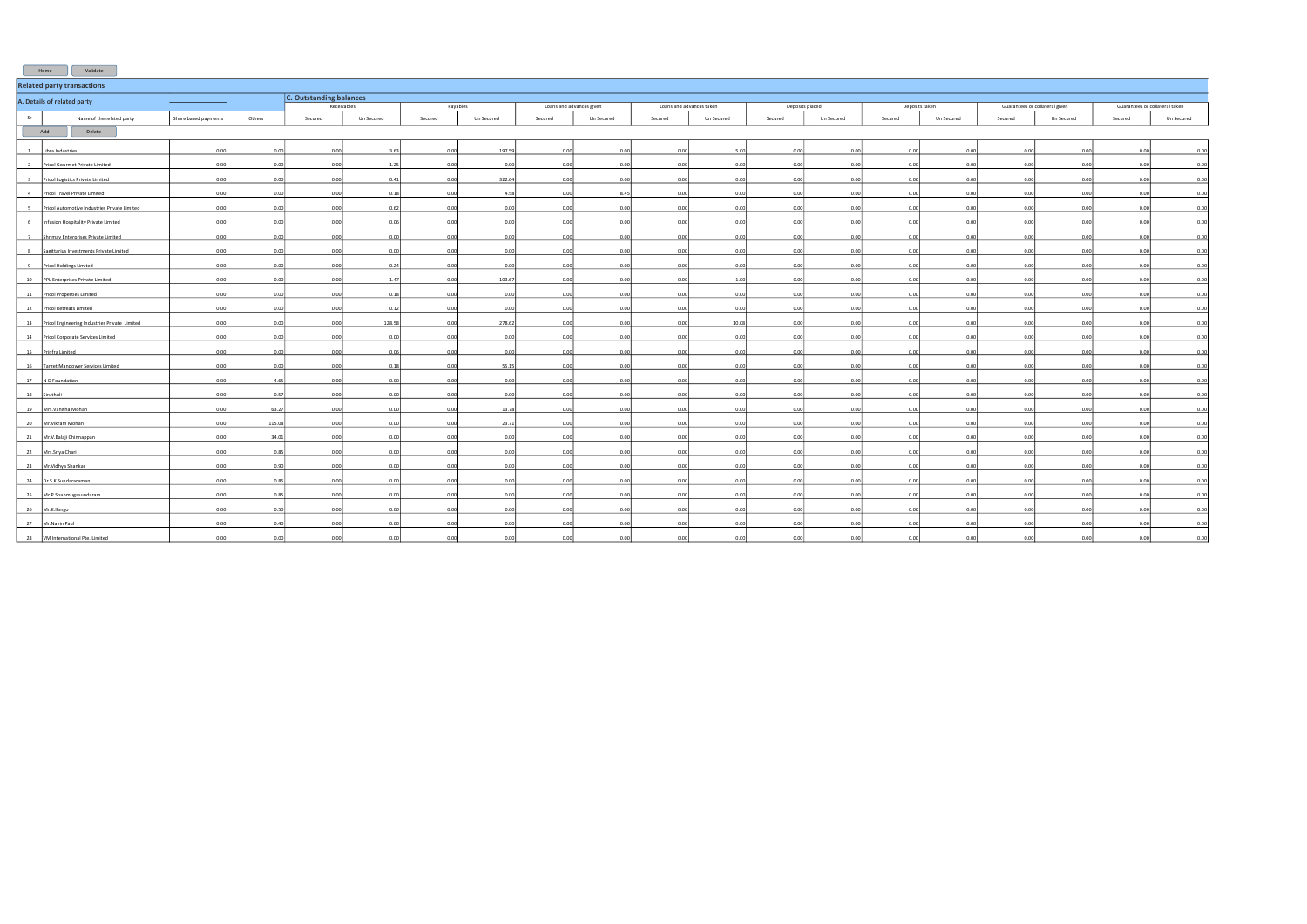| Validate<br>Home                                              |                      |        |                                |             |         |            |                          |            |                          |            |                 |            |                |            |                                |            |                                |            |
|---------------------------------------------------------------|----------------------|--------|--------------------------------|-------------|---------|------------|--------------------------|------------|--------------------------|------------|-----------------|------------|----------------|------------|--------------------------------|------------|--------------------------------|------------|
| <b>Related party transactions</b>                             |                      |        |                                |             |         |            |                          |            |                          |            |                 |            |                |            |                                |            |                                |            |
| A. Details of related party                                   | ____                 |        | <b>C. Outstanding balances</b> |             |         |            |                          |            |                          |            |                 |            |                |            |                                |            |                                |            |
|                                                               |                      |        |                                | Receivables |         | Payables   | Loans and advances given |            | Loans and advances taken |            | Deposits placed |            | Deposits taken |            | Guarantees or collateral given |            | Guarantees or collateral taken |            |
| Sr<br>Name of the related party                               | Share based payments | Others | Secured                        | Un Secured  | Secured | Un Secured | Secured                  | Un Secured | Secured                  | Un Secured | Secured         | Un Secured | Secured        | Un Secured | Secured                        | Un Secured | Secured                        | Un Secured |
| Add<br>Delete                                                 |                      |        |                                |             |         |            |                          |            |                          |            |                 |            |                |            |                                |            |                                |            |
| Libra Industries<br>$\mathbf{1}$                              | 0.00                 | 0.00   | 0.00                           | 3.63        | 0.00    | 197.59     | 0.00                     | 0.00       | 0.00                     | 5.00       | 0.00            | 0.00       | 0.00           | 0.00       | 0.00                           | 0.00       | 0.00                           | 0.00       |
| $\overline{2}$<br>Pricol Gourmet Private Limited              | 0.00                 | 0.00   | 0.00                           | 1.25        | 0.00    | 0.00       | 0.00                     | 0.00       | 0.00                     | 0.00       | 0.00            | 0.00       | 0.00           | 0.00       | 0.00                           | 0.00       | 0.00                           | 0.00       |
| $\frac{3}{2}$<br>Pricol Logistics Private Limited             | 0.00                 | 0.001  | 0.00                           | 0.41        | 0.00    | 322.64     | 0.00                     | 0.00       | 0.00                     | 0.00       | 0.00            | 0.00       | 0.00           | 0.00       | 0.00                           | 0.00       | 0.00                           | 0.00       |
| $-4$<br>Pricol Travel Private Limited                         | 0.00                 | 0.00   | 0.00                           | 0.18        | 0.00    | 4.58       | 0.00                     | 8.45       | 0.00                     | 0.00       | 0.00            | 0.00       | 0.00           | 0.00       | 0.00                           | 0.00       | 0.00                           | 0.00       |
|                                                               |                      |        |                                |             |         |            |                          |            |                          |            |                 |            |                |            |                                |            |                                |            |
| $\frac{5}{2}$<br>Pricol Automotive Industries Private Limited | 0.00                 | 0.00   | 0.00                           | 0.62        | 0.00    | 0.00       | 0.00                     | 0.00       | 0.00                     | 0.00       | 0.00            | 0.00       | 0.00           | 0.00       | 0.00                           | 0.00       | 0.00                           | 0.00       |
| 6<br>Infusion Hospitality Private Limited                     | 0.00                 | 0.00   | 0.00                           | 0.06        | 0.00    | 0.00       | 0.00                     | 0.00       | 0.00                     | 0.00       | 0.00            | 0.00       | 0.00           | 0.00       | 0.00                           | 0.00       | 0.00                           | 0.00       |
| 7<br>Shrimay Enterprises Private Limited                      | 0.00                 | 0.00   | 0.00                           | 0.00        | 0.00    | 0.00       | 0.00                     | 0.00       | 0.00                     | 0.00       | 0.00            | 0.00       | 0.00           | 0.00       | 0.00                           | 0.00       | 0.00                           | 0.00       |
| 8<br>Sagittarius Investments Private Limited                  | 0.00                 | 0.00   | 0.00                           | 0.00        | 0.00    | 0.00       | 0.00                     | 0.00       | 0.00                     | 0.00       | 0.00            | 0.00       | 0.00           | 0.00       | 0.00                           | 0.00       | 0.00                           | 0.00       |
| 9<br>Pricol Holdings Limited                                  | 0.00                 | 0.00   | 0.00                           | 0.24        | 0.00    | 0.00       | 0.00                     | 0.00       | 0.00                     | 0.00       | 0.00            | 0.00       | 0.00           | 0.00       | 0.00                           | 0.00       | 0.00                           | 0.00       |
| 10 PPL Enterprises Private Limited                            | 0.00                 | 0.00   | 0.00                           | 1.47        | 0.00    | 103.67     | 0.00                     | 0.00       | 0.00                     | 1.00       | 0.00            | 0.00       | 0.00           | 0.00       | 0.00                           | 0.00       | 0.00                           | 0.00       |
| 11 Pricol Properties Limited                                  | 0.00                 | 0.00   | 0.00                           | 0.18        | 0.00    | 0.00       | 0.00                     | 0.00       | 0.00                     | 0.00       | 0.00            | 0.00       | 0.00           | 0.00       | 0.00                           | 0.00       | 0.00                           | 0.00       |
| 12<br>Pricol Retreats Limited                                 | 0.00                 | 0.00   | 0.00                           | 0.12        | 0.00    | 0.00       | 0.00                     | 0.00       | 0.00                     | 0.00       | 0.00            | 0.00       | 0.00           | 0.00       | 0.00                           | 0.00       | 0.00                           | 0.00       |
| 13 Pricol Engineering Industries Private Limited              | 0.00                 | 0.00   | 0.00                           | 128.58      | 0.00    | 278.62     | 0.00                     | 0.00       | 0.00                     | 10.08      | 0.00            | 0.00       | 0.00           | 0.00       | 0.00                           | 0.00       | 0.00                           | 0.00       |
| 14<br>Pricol Corporate Services Limited                       | 0.00                 | 0.00   | 0.00                           | 0.00        | 0.00    | 0.00       | 0.00                     | 0.00       | 0.00                     | 0.00       | 0.00            | 0.00       | 0.00           | 0.00       | 0.00                           | 0.00       | 0.00                           | 0.00       |
| 15 Prinfra Limited                                            | 0.00                 | 0.00   | 0.00                           | 0.06        | 0.00    | 0.00       | 0.00                     | 0.00       | 0.00                     | 0.00       | 0.00            | 0.00       | 0.00           | 0.00       | 0.00                           | 0.00       | 0.00                           | 0.00       |
| 16<br>Target Manpower Services Limited                        | 0.00                 | 0.00   | 0.00                           | 0.18        | 0.00    | 55.15      | 0.00                     | 0.00       | 0.00                     | 0.00       | 0.00            | 0.00       | 0.00           | 0.00       | 0.00                           | 0.00       | 0.00                           | 0.00       |
| 17 ND Foundation                                              | 0.00                 | 4.65   | 0.00                           | 0.00        | 0.00    | 0.00       | 0.00                     | 0.00       | 0.00                     | 0.00       | 0.00            | 0.00       | 0.00           | 0.00       | 0.00                           | 0.00       | 0.00                           | 0.00       |
| 18 Siruthuli                                                  | 0.00                 | 0.57   | 0.00                           | 0.00        | 0.00    | 0.00       | 0.00                     | 0.00       | 0.00                     | 0.00       | 0.00            | 0.00       | 0.00           | 0.00       | 0.00                           | 0.00       | 0.00                           | 0.00       |
| 19<br>Mrs.Vanitha Mohan                                       | 0.00                 | 63.27  | 0.00                           | 0.00        | 0.00    | 13.78      | 0.00                     | 0.00       | 0.00                     | 0.00       | 0.00            | 0.00       | 0.00           | 0.00       | 0.00                           | 0.00       | 0.00                           | 0.00       |
| 20 Mr. Vikram Mohan                                           | 0.00                 | 115.08 | 0.00                           | 0.00        | 0.00    | 23.71      | 0.00                     | 0.00       | 0.00                     | 0.00       | 0.00            | 0.00       | 0.00           | 0.00       | 0.00                           | 0.00       | 0.00                           | 0.00       |
| 21 Mr.V.Balaji Chinnappan                                     | 0.00                 | 34.01  | 0.00                           | 0.00        | 0.00    | 0.00       | 0.00                     | 0.00       | 0.00                     | 0.00       | 0.00            | 0.00       | 0.00           | 0.00       | 0.00                           | 0.00       | 0.00                           | 0.00       |
| 22 Mrs.Sriya Chari                                            | 0.00                 | 0.85   | 0.00                           | 0.00        | 0.00    | 0.00       | 0.00                     | 0.00       | 0.00                     | 0.00       | 0.00            | 0.00       | 0.00           | 0.00       | 0.00                           | 0.00       | 0.00                           | 0.00       |
| 23<br>Mr.Vidhya Shankar                                       | 0.00                 | 0.90   | 0.00                           | 0.00        | 0.00    | 0.00       | 0.00                     | 0.00       | 0.00                     | 0.00       | 0.00            | 0.00       | 0.00           | 0.00       | 0.00                           | 0.00       | 0.00                           | 0.00       |
| 24 Dr.S.K.Sundararaman                                        | 0.00                 | 0.85   | 0.00                           | 0.00        | 0.00    | 0.00       | 0.00                     | 0.00       | 0.00                     | 0.00       | 0.00            | 0.00       | 0.00           | 0.00       | 0.00                           | 0.00       | 0.00                           | 0.00       |
| Mr.P.Shanmugasundaram<br>25                                   | 0.00                 | 0.85   | 0.00                           | 0.00        | 0.00    | 0.00       | 0.00                     | 0.00       | 0.00                     | 0.00       | 0.00            | 0.00       | 0.00           | 0.00       | 0.00                           | 0.00       | 0.00                           | 0.00       |
| 26 Mr.K.Ilango                                                | 0.00                 | 0.50   | 0.00                           | 0.00        | 0.00    | 0.00       | 0.00                     | 0.00       | 0.00                     | 0.00       | 0.00            | 0.00       | 0.00           | 0.00       | 0.00                           | 0.00       | 0.00                           | 0.00       |
| 27<br>Mr.Navin Paul                                           | 0.00                 | 0.40   | 0.00                           | 0.00        | 0.00    | 0.00       | 0.00                     | 0.00       | 0.00                     | 0.00       | 0.00            | 0.00       | 0.00           | 0.00       | 0.00                           | 0.00       | 0.00                           | 0.00       |
| 28   VM International Pte. Limited                            | 0.00                 | 0.00   | 0.00                           | 0.00        | 0.00    | 0.00       | 0.00                     | 0.00       | 0.00                     | 0.00       | 0.00            | 0.00       | 0.00           | 0.00       | 0.00                           | 0.00       | 0.00                           | 0.00       |